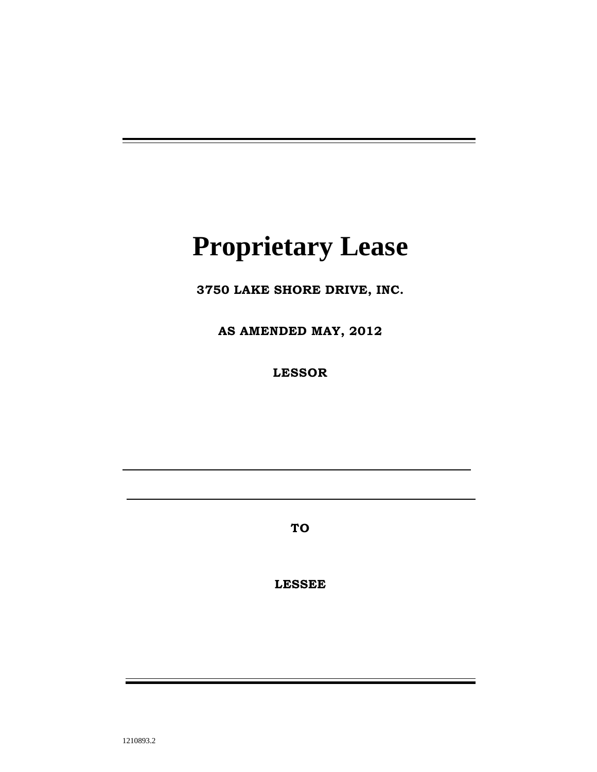# **Proprietary Lease**

**3750 LAKE SHORE DRIVE, INC.**

**AS AMENDED MAY, 2012**

**LESSOR**

**TO**

**LESSEE**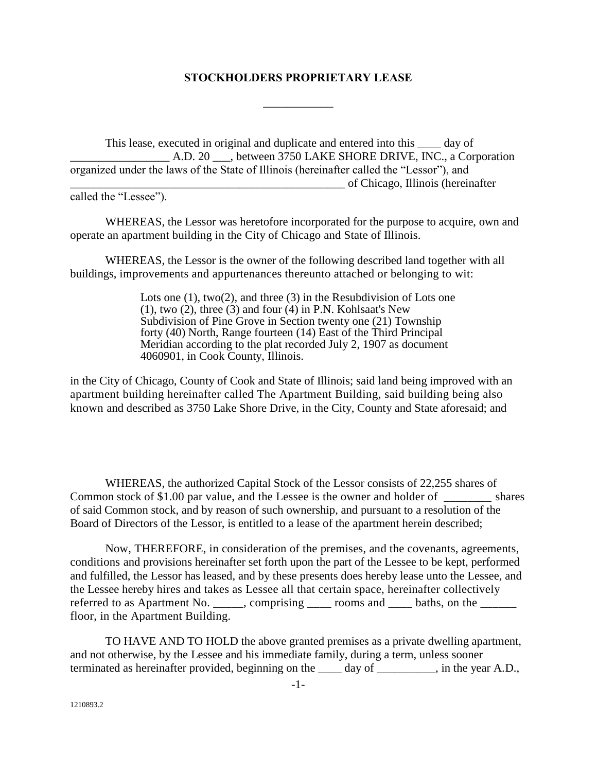#### **STOCKHOLDERS PROPRIETARY LEASE**

\_\_\_\_\_\_\_\_\_\_\_\_

This lease, executed in original and duplicate and entered into this day of A.D. 20 . between 3750 LAKE SHORE DRIVE, INC., a Corporation organized under the laws of the State of Illinois (hereinafter called the "Lessor"), and \_\_\_\_\_\_\_\_\_\_\_\_\_\_\_\_\_\_\_\_\_\_\_\_\_\_\_\_\_\_\_\_\_\_\_\_\_\_\_\_\_\_\_\_\_\_\_ of Chicago, Illinois (hereinafter

called the "Lessee").

WHEREAS, the Lessor was heretofore incorporated for the purpose to acquire, own and operate an apartment building in the City of Chicago and State of Illinois.

WHEREAS, the Lessor is the owner of the following described land together with all buildings, improvements and appurtenances thereunto attached or belonging to wit:

> Lots one (1), two(2), and three (3) in the Resubdivision of Lots one  $(1)$ , two  $(2)$ , three  $(3)$  and four  $(4)$  in P.N. Kohlsaat's New Subdivision of Pine Grove in Section twenty one (21) Township forty (40) North, Range fourteen (14) East of the Third Principal Meridian according to the plat recorded July 2, 1907 as document 4060901, in Cook County, Illinois.

in the City of Chicago, County of Cook and State of Illinois; said land being improved with an apartment building hereinafter called The Apartment Building, said building being also known and described as 3750 Lake Shore Drive, in the City, County and State aforesaid; and

WHEREAS, the authorized Capital Stock of the Lessor consists of 22,255 shares of Common stock of \$1.00 par value, and the Lessee is the owner and holder of \_\_\_\_\_\_\_\_ shares of said Common stock, and by reason of such ownership, and pursuant to a resolution of the Board of Directors of the Lessor, is entitled to a lease of the apartment herein described;

Now, THEREFORE, in consideration of the premises, and the covenants, agreements, conditions and provisions hereinafter set forth upon the part of the Lessee to be kept, performed and fulfilled, the Lessor has leased, and by these presents does hereby lease unto the Lessee, and the Lessee hereby hires and takes as Lessee all that certain space, hereinafter collectively referred to as Apartment No. \_\_\_\_\_, comprising  $\frac{1}{\sqrt{1-\frac{1}{n}}}$  rooms and  $\frac{1}{\sqrt{1-\frac{1}{n}}}$  baths, on the  $\frac{1}{\sqrt{1-\frac{1}{n}}}$ floor, in the Apartment Building.

TO HAVE AND TO HOLD the above granted premises as a private dwelling apartment, and not otherwise, by the Lessee and his immediate family, during a term, unless sooner terminated as hereinafter provided, beginning on the day of , in the year A.D.,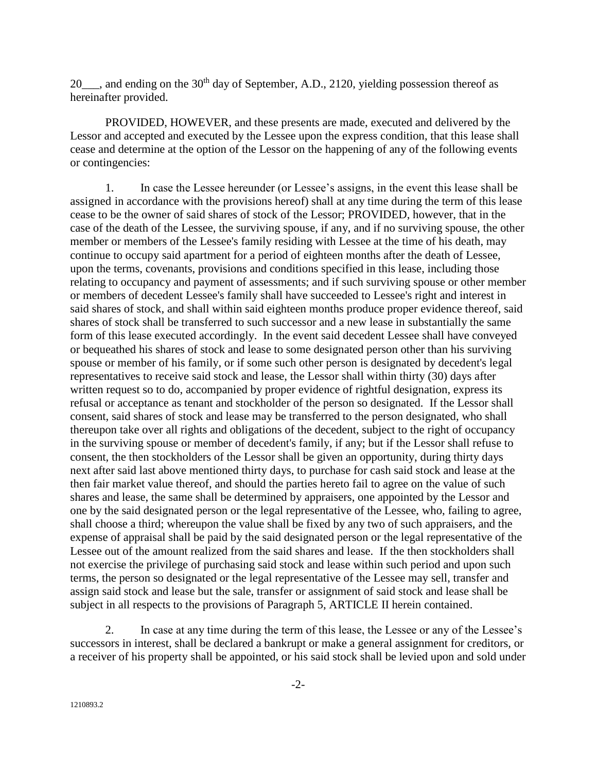$20$ , and ending on the  $30<sup>th</sup>$  day of September, A.D., 2120, yielding possession thereof as hereinafter provided.

PROVIDED, HOWEVER, and these presents are made, executed and delivered by the Lessor and accepted and executed by the Lessee upon the express condition, that this lease shall cease and determine at the option of the Lessor on the happening of any of the following events or contingencies:

1. In case the Lessee hereunder (or Lessee's assigns, in the event this lease shall be assigned in accordance with the provisions hereof) shall at any time during the term of this lease cease to be the owner of said shares of stock of the Lessor; PROVIDED, however, that in the case of the death of the Lessee, the surviving spouse, if any, and if no surviving spouse, the other member or members of the Lessee's family residing with Lessee at the time of his death, may continue to occupy said apartment for a period of eighteen months after the death of Lessee, upon the terms, covenants, provisions and conditions specified in this lease, including those relating to occupancy and payment of assessments; and if such surviving spouse or other member or members of decedent Lessee's family shall have succeeded to Lessee's right and interest in said shares of stock, and shall within said eighteen months produce proper evidence thereof, said shares of stock shall be transferred to such successor and a new lease in substantially the same form of this lease executed accordingly. In the event said decedent Lessee shall have conveyed or bequeathed his shares of stock and lease to some designated person other than his surviving spouse or member of his family, or if some such other person is designated by decedent's legal representatives to receive said stock and lease, the Lessor shall within thirty (30) days after written request so to do, accompanied by proper evidence of rightful designation, express its refusal or acceptance as tenant and stockholder of the person so designated. If the Lessor shall consent, said shares of stock and lease may be transferred to the person designated, who shall thereupon take over all rights and obligations of the decedent, subject to the right of occupancy in the surviving spouse or member of decedent's family, if any; but if the Lessor shall refuse to consent, the then stockholders of the Lessor shall be given an opportunity, during thirty days next after said last above mentioned thirty days, to purchase for cash said stock and lease at the then fair market value thereof, and should the parties hereto fail to agree on the value of such shares and lease, the same shall be determined by appraisers, one appointed by the Lessor and one by the said designated person or the legal representative of the Lessee, who, failing to agree, shall choose a third; whereupon the value shall be fixed by any two of such appraisers, and the expense of appraisal shall be paid by the said designated person or the legal representative of the Lessee out of the amount realized from the said shares and lease. If the then stockholders shall not exercise the privilege of purchasing said stock and lease within such period and upon such terms, the person so designated or the legal representative of the Lessee may sell, transfer and assign said stock and lease but the sale, transfer or assignment of said stock and lease shall be subject in all respects to the provisions of Paragraph 5, ARTICLE II herein contained.

2. In case at any time during the term of this lease, the Lessee or any of the Lessee's successors in interest, shall be declared a bankrupt or make a general assignment for creditors, or a receiver of his property shall be appointed, or his said stock shall be levied upon and sold under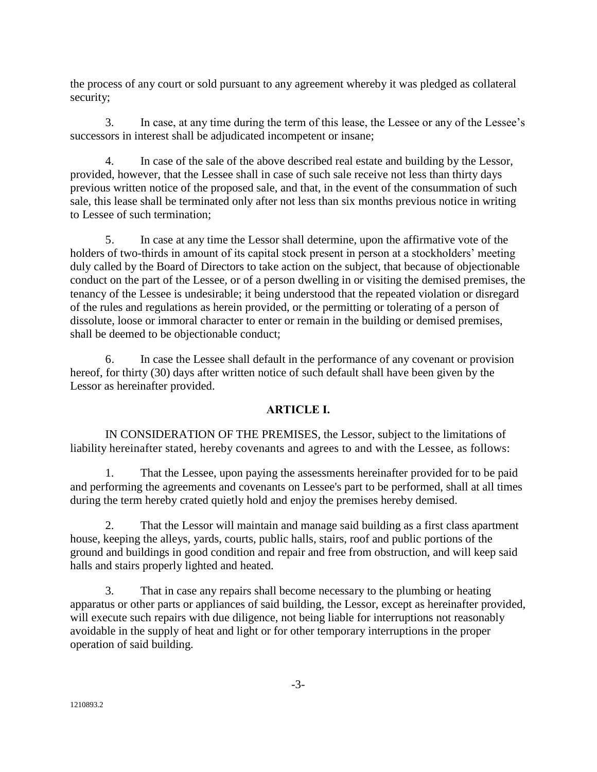the process of any court or sold pursuant to any agreement whereby it was pledged as collateral security;

3. In case, at any time during the term of this lease, the Lessee or any of the Lessee's successors in interest shall be adjudicated incompetent or insane;

4. In case of the sale of the above described real estate and building by the Lessor, provided, however, that the Lessee shall in case of such sale receive not less than thirty days previous written notice of the proposed sale, and that, in the event of the consummation of such sale, this lease shall be terminated only after not less than six months previous notice in writing to Lessee of such termination;

5. In case at any time the Lessor shall determine, upon the affirmative vote of the holders of two-thirds in amount of its capital stock present in person at a stockholders' meeting duly called by the Board of Directors to take action on the subject, that because of objectionable conduct on the part of the Lessee, or of a person dwelling in or visiting the demised premises, the tenancy of the Lessee is undesirable; it being understood that the repeated violation or disregard of the rules and regulations as herein provided, or the permitting or tolerating of a person of dissolute, loose or immoral character to enter or remain in the building or demised premises, shall be deemed to be objectionable conduct;

6. In case the Lessee shall default in the performance of any covenant or provision hereof, for thirty (30) days after written notice of such default shall have been given by the Lessor as hereinafter provided.

# **ARTICLE I.**

IN CONSIDERATION OF THE PREMISES, the Lessor, subject to the limitations of liability hereinafter stated, hereby covenants and agrees to and with the Lessee, as follows:

1. That the Lessee, upon paying the assessments hereinafter provided for to be paid and performing the agreements and covenants on Lessee's part to be performed, shall at all times during the term hereby crated quietly hold and enjoy the premises hereby demised.

2. That the Lessor will maintain and manage said building as a first class apartment house, keeping the alleys, yards, courts, public halls, stairs, roof and public portions of the ground and buildings in good condition and repair and free from obstruction, and will keep said halls and stairs properly lighted and heated.

3. That in case any repairs shall become necessary to the plumbing or heating apparatus or other parts or appliances of said building, the Lessor, except as hereinafter provided, will execute such repairs with due diligence, not being liable for interruptions not reasonably avoidable in the supply of heat and light or for other temporary interruptions in the proper operation of said building.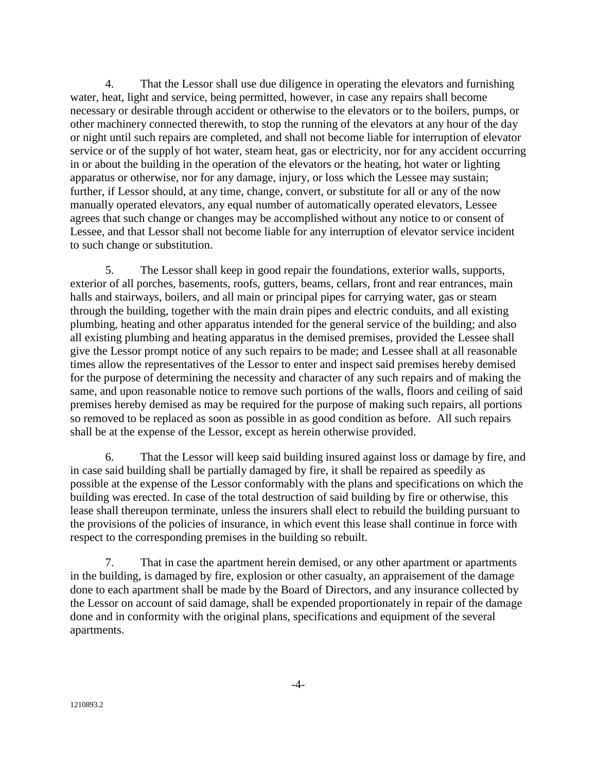4. That the Lessor shall use due diligence in operating the elevators and furnishing water, heat, light and service, being permitted, however, in case any repairs shall become necessary or desirable through accident or otherwise to the elevators or to the boilers, pumps, or other machinery connected therewith, to stop the running of the elevators at any hour of the day or night until such repairs are completed, and shall not become liable for interruption of elevator service or of the supply of hot water, steam heat, gas or electricity, nor for any accident occurring in or about the building in the operation of the elevators or the heating, hot water or lighting apparatus or otherwise, nor for any damage, injury, or loss which the Lessee may sustain; further, if Lessor should, at any time, change, convert, or substitute for all or any of the now manually operated elevators, any equal number of automatically operated elevators, Lessee agrees that such change or changes may be accomplished without any notice to or consent of Lessee, and that Lessor shall not become liable for any interruption of elevator service incident to such change or substitution.

5. The Lessor shall keep in good repair the foundations, exterior walls, supports, exterior of all porches, basements, roofs, gutters, beams, cellars, front and rear entrances, main halls and stairways, boilers, and all main or principal pipes for carrying water, gas or steam through the building, together with the main drain pipes and electric conduits, and all existing plumbing, heating and other apparatus intended for the general service of the building; and also all existing plumbing and heating apparatus in the demised premises, provided the Lessee shall give the Lessor prompt notice of any such repairs to be made; and Lessee shall at all reasonable times allow the representatives of the Lessor to enter and inspect said premises hereby demised for the purpose of determining the necessity and character of any such repairs and of making the same, and upon reasonable notice to remove such portions of the walls, floors and ceiling of said premises hereby demised as may be required for the purpose of making such repairs, all portions so removed to be replaced as soon as possible in as good condition as before. All such repairs shall be at the expense of the Lessor, except as herein otherwise provided.

6. That the Lessor will keep said building insured against loss or damage by fire, and in case said building shall be partially damaged by fire, it shall be repaired as speedily as possible at the expense of the Lessor conformably with the plans and specifications on which the building was erected. In case of the total destruction of said building by fire or otherwise, this lease shall thereupon terminate, unless the insurers shall elect to rebuild the building pursuant to the provisions of the policies of insurance, in which event this lease shall continue in force with respect to the corresponding premises in the building so rebuilt.

7. That in case the apartment herein demised, or any other apartment or apartments in the building, is damaged by fire, explosion or other casualty, an appraisement of the damage done to each apartment shall be made by the Board of Directors, and any insurance collected by the Lessor on account of said damage, shall be expended proportionately in repair of the damage done and in conformity with the original plans, specifications and equipment of the several apartments.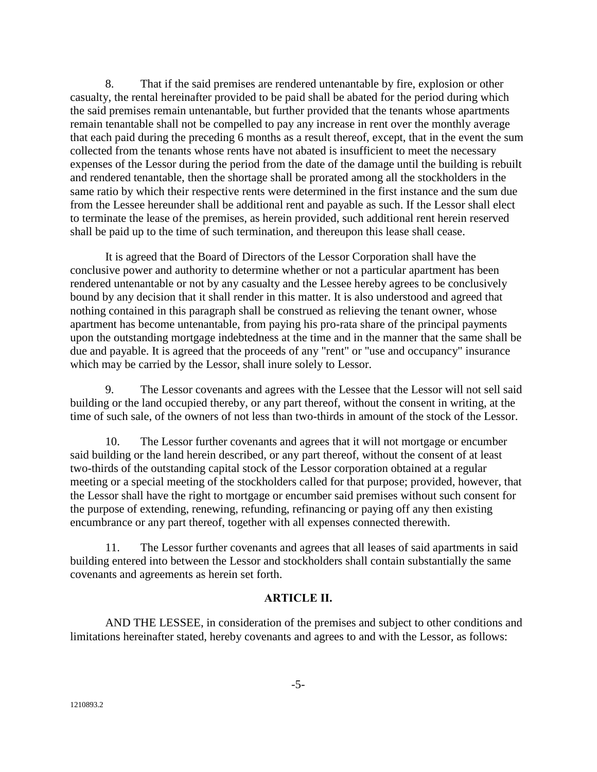8. That if the said premises are rendered untenantable by fire, explosion or other casualty, the rental hereinafter provided to be paid shall be abated for the period during which the said premises remain untenantable, but further provided that the tenants whose apartments remain tenantable shall not be compelled to pay any increase in rent over the monthly average that each paid during the preceding 6 months as a result thereof, except, that in the event the sum collected from the tenants whose rents have not abated is insufficient to meet the necessary expenses of the Lessor during the period from the date of the damage until the building is rebuilt and rendered tenantable, then the shortage shall be prorated among all the stockholders in the same ratio by which their respective rents were determined in the first instance and the sum due from the Lessee hereunder shall be additional rent and payable as such. If the Lessor shall elect to terminate the lease of the premises, as herein provided, such additional rent herein reserved shall be paid up to the time of such termination, and thereupon this lease shall cease.

It is agreed that the Board of Directors of the Lessor Corporation shall have the conclusive power and authority to determine whether or not a particular apartment has been rendered untenantable or not by any casualty and the Lessee hereby agrees to be conclusively bound by any decision that it shall render in this matter. It is also understood and agreed that nothing contained in this paragraph shall be construed as relieving the tenant owner, whose apartment has become untenantable, from paying his pro-rata share of the principal payments upon the outstanding mortgage indebtedness at the time and in the manner that the same shall be due and payable. It is agreed that the proceeds of any "rent" or "use and occupancy" insurance which may be carried by the Lessor, shall inure solely to Lessor.

9. The Lessor covenants and agrees with the Lessee that the Lessor will not sell said building or the land occupied thereby, or any part thereof, without the consent in writing, at the time of such sale, of the owners of not less than two-thirds in amount of the stock of the Lessor.

10. The Lessor further covenants and agrees that it will not mortgage or encumber said building or the land herein described, or any part thereof, without the consent of at least two-thirds of the outstanding capital stock of the Lessor corporation obtained at a regular meeting or a special meeting of the stockholders called for that purpose; provided, however, that the Lessor shall have the right to mortgage or encumber said premises without such consent for the purpose of extending, renewing, refunding, refinancing or paying off any then existing encumbrance or any part thereof, together with all expenses connected therewith.

11. The Lessor further covenants and agrees that all leases of said apartments in said building entered into between the Lessor and stockholders shall contain substantially the same covenants and agreements as herein set forth.

#### **ARTICLE II.**

AND THE LESSEE, in consideration of the premises and subject to other conditions and limitations hereinafter stated, hereby covenants and agrees to and with the Lessor, as follows: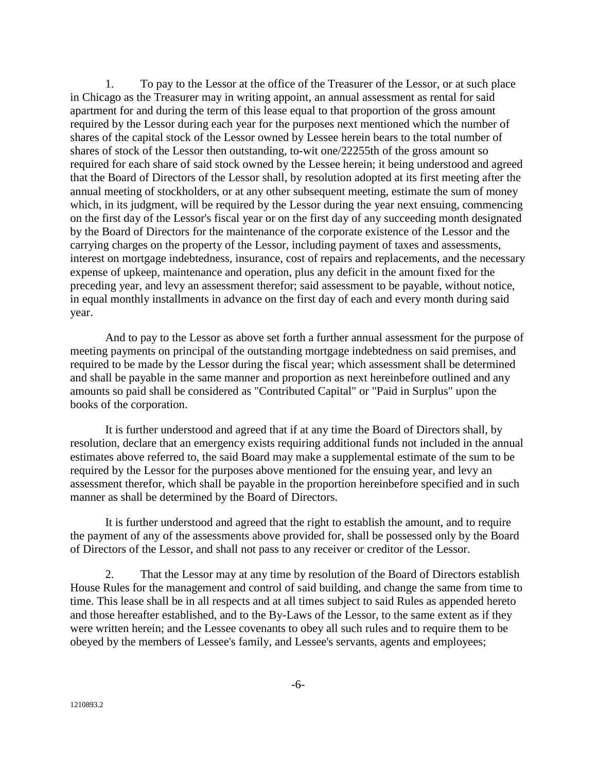1. To pay to the Lessor at the office of the Treasurer of the Lessor, or at such place in Chicago as the Treasurer may in writing appoint, an annual assessment as rental for said apartment for and during the term of this lease equal to that proportion of the gross amount required by the Lessor during each year for the purposes next mentioned which the number of shares of the capital stock of the Lessor owned by Lessee herein bears to the total number of shares of stock of the Lessor then outstanding, to-wit one/22255th of the gross amount so required for each share of said stock owned by the Lessee herein; it being understood and agreed that the Board of Directors of the Lessor shall, by resolution adopted at its first meeting after the annual meeting of stockholders, or at any other subsequent meeting, estimate the sum of money which, in its judgment, will be required by the Lessor during the year next ensuing, commencing on the first day of the Lessor's fiscal year or on the first day of any succeeding month designated by the Board of Directors for the maintenance of the corporate existence of the Lessor and the carrying charges on the property of the Lessor, including payment of taxes and assessments, interest on mortgage indebtedness, insurance, cost of repairs and replacements, and the necessary expense of upkeep, maintenance and operation, plus any deficit in the amount fixed for the preceding year, and levy an assessment therefor; said assessment to be payable, without notice, in equal monthly installments in advance on the first day of each and every month during said year.

And to pay to the Lessor as above set forth a further annual assessment for the purpose of meeting payments on principal of the outstanding mortgage indebtedness on said premises, and required to be made by the Lessor during the fiscal year; which assessment shall be determined and shall be payable in the same manner and proportion as next hereinbefore outlined and any amounts so paid shall be considered as "Contributed Capital" or "Paid in Surplus" upon the books of the corporation.

It is further understood and agreed that if at any time the Board of Directors shall, by resolution, declare that an emergency exists requiring additional funds not included in the annual estimates above referred to, the said Board may make a supplemental estimate of the sum to be required by the Lessor for the purposes above mentioned for the ensuing year, and levy an assessment therefor, which shall be payable in the proportion hereinbefore specified and in such manner as shall be determined by the Board of Directors.

It is further understood and agreed that the right to establish the amount, and to require the payment of any of the assessments above provided for, shall be possessed only by the Board of Directors of the Lessor, and shall not pass to any receiver or creditor of the Lessor.

2. That the Lessor may at any time by resolution of the Board of Directors establish House Rules for the management and control of said building, and change the same from time to time. This lease shall be in all respects and at all times subject to said Rules as appended hereto and those hereafter established, and to the By-Laws of the Lessor, to the same extent as if they were written herein; and the Lessee covenants to obey all such rules and to require them to be obeyed by the members of Lessee's family, and Lessee's servants, agents and employees;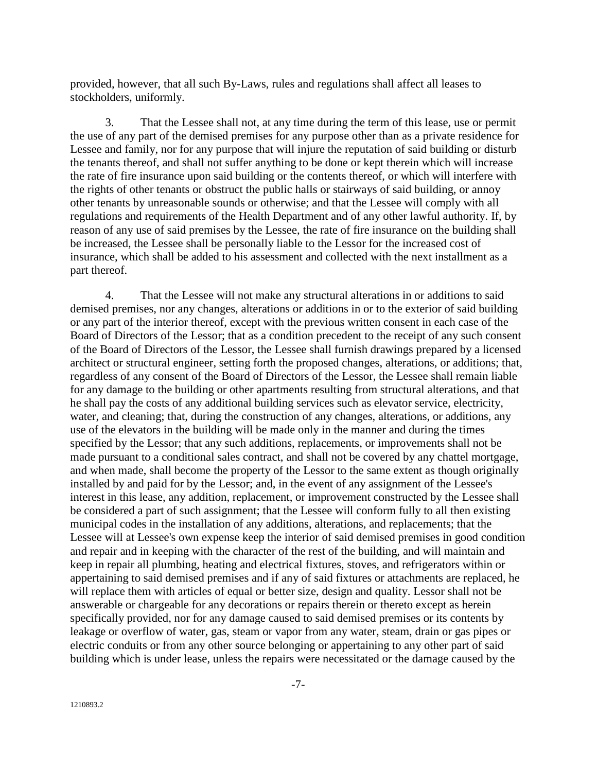provided, however, that all such By-Laws, rules and regulations shall affect all leases to stockholders, uniformly.

3. That the Lessee shall not, at any time during the term of this lease, use or permit the use of any part of the demised premises for any purpose other than as a private residence for Lessee and family, nor for any purpose that will injure the reputation of said building or disturb the tenants thereof, and shall not suffer anything to be done or kept therein which will increase the rate of fire insurance upon said building or the contents thereof, or which will interfere with the rights of other tenants or obstruct the public halls or stairways of said building, or annoy other tenants by unreasonable sounds or otherwise; and that the Lessee will comply with all regulations and requirements of the Health Department and of any other lawful authority. If, by reason of any use of said premises by the Lessee, the rate of fire insurance on the building shall be increased, the Lessee shall be personally liable to the Lessor for the increased cost of insurance, which shall be added to his assessment and collected with the next installment as a part thereof.

4. That the Lessee will not make any structural alterations in or additions to said demised premises, nor any changes, alterations or additions in or to the exterior of said building or any part of the interior thereof, except with the previous written consent in each case of the Board of Directors of the Lessor; that as a condition precedent to the receipt of any such consent of the Board of Directors of the Lessor, the Lessee shall furnish drawings prepared by a licensed architect or structural engineer, setting forth the proposed changes, alterations, or additions; that, regardless of any consent of the Board of Directors of the Lessor, the Lessee shall remain liable for any damage to the building or other apartments resulting from structural alterations, and that he shall pay the costs of any additional building services such as elevator service, electricity, water, and cleaning; that, during the construction of any changes, alterations, or additions, any use of the elevators in the building will be made only in the manner and during the times specified by the Lessor; that any such additions, replacements, or improvements shall not be made pursuant to a conditional sales contract, and shall not be covered by any chattel mortgage, and when made, shall become the property of the Lessor to the same extent as though originally installed by and paid for by the Lessor; and, in the event of any assignment of the Lessee's interest in this lease, any addition, replacement, or improvement constructed by the Lessee shall be considered a part of such assignment; that the Lessee will conform fully to all then existing municipal codes in the installation of any additions, alterations, and replacements; that the Lessee will at Lessee's own expense keep the interior of said demised premises in good condition and repair and in keeping with the character of the rest of the building, and will maintain and keep in repair all plumbing, heating and electrical fixtures, stoves, and refrigerators within or appertaining to said demised premises and if any of said fixtures or attachments are replaced, he will replace them with articles of equal or better size, design and quality. Lessor shall not be answerable or chargeable for any decorations or repairs therein or thereto except as herein specifically provided, nor for any damage caused to said demised premises or its contents by leakage or overflow of water, gas, steam or vapor from any water, steam, drain or gas pipes or electric conduits or from any other source belonging or appertaining to any other part of said building which is under lease, unless the repairs were necessitated or the damage caused by the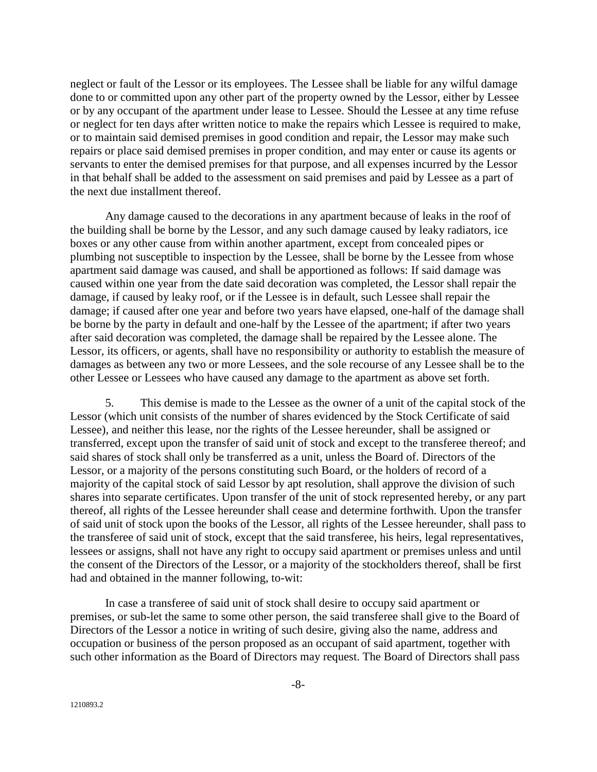neglect or fault of the Lessor or its employees. The Lessee shall be liable for any wilful damage done to or committed upon any other part of the property owned by the Lessor, either by Lessee or by any occupant of the apartment under lease to Lessee. Should the Lessee at any time refuse or neglect for ten days after written notice to make the repairs which Lessee is required to make, or to maintain said demised premises in good condition and repair, the Lessor may make such repairs or place said demised premises in proper condition, and may enter or cause its agents or servants to enter the demised premises for that purpose, and all expenses incurred by the Lessor in that behalf shall be added to the assessment on said premises and paid by Lessee as a part of the next due installment thereof.

Any damage caused to the decorations in any apartment because of leaks in the roof of the building shall be borne by the Lessor, and any such damage caused by leaky radiators, ice boxes or any other cause from within another apartment, except from concealed pipes or plumbing not susceptible to inspection by the Lessee, shall be borne by the Lessee from whose apartment said damage was caused, and shall be apportioned as follows: If said damage was caused within one year from the date said decoration was completed, the Lessor shall repair the damage, if caused by leaky roof, or if the Lessee is in default, such Lessee shall repair the damage; if caused after one year and before two years have elapsed, one-half of the damage shall be borne by the party in default and one-half by the Lessee of the apartment; if after two years after said decoration was completed, the damage shall be repaired by the Lessee alone. The Lessor, its officers, or agents, shall have no responsibility or authority to establish the measure of damages as between any two or more Lessees, and the sole recourse of any Lessee shall be to the other Lessee or Lessees who have caused any damage to the apartment as above set forth.

5. This demise is made to the Lessee as the owner of a unit of the capital stock of the Lessor (which unit consists of the number of shares evidenced by the Stock Certificate of said Lessee), and neither this lease, nor the rights of the Lessee hereunder, shall be assigned or transferred, except upon the transfer of said unit of stock and except to the transferee thereof; and said shares of stock shall only be transferred as a unit, unless the Board of. Directors of the Lessor, or a majority of the persons constituting such Board, or the holders of record of a majority of the capital stock of said Lessor by apt resolution, shall approve the division of such shares into separate certificates. Upon transfer of the unit of stock represented hereby, or any part thereof, all rights of the Lessee hereunder shall cease and determine forthwith. Upon the transfer of said unit of stock upon the books of the Lessor, all rights of the Lessee hereunder, shall pass to the transferee of said unit of stock, except that the said transferee, his heirs, legal representatives, lessees or assigns, shall not have any right to occupy said apartment or premises unless and until the consent of the Directors of the Lessor, or a majority of the stockholders thereof, shall be first had and obtained in the manner following, to-wit:

In case a transferee of said unit of stock shall desire to occupy said apartment or premises, or sub-let the same to some other person, the said transferee shall give to the Board of Directors of the Lessor a notice in writing of such desire, giving also the name, address and occupation or business of the person proposed as an occupant of said apartment, together with such other information as the Board of Directors may request. The Board of Directors shall pass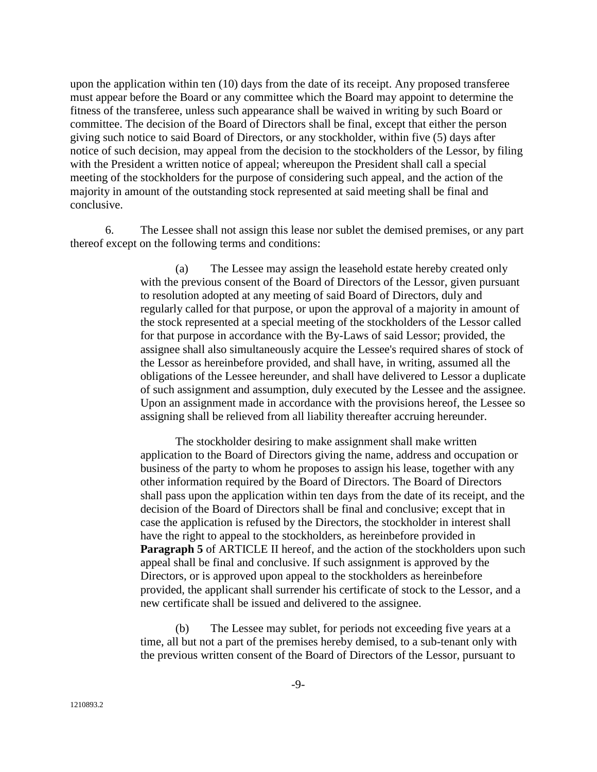upon the application within ten (10) days from the date of its receipt. Any proposed transferee must appear before the Board or any committee which the Board may appoint to determine the fitness of the transferee, unless such appearance shall be waived in writing by such Board or committee. The decision of the Board of Directors shall be final, except that either the person giving such notice to said Board of Directors, or any stockholder, within five (5) days after notice of such decision, may appeal from the decision to the stockholders of the Lessor, by filing with the President a written notice of appeal; whereupon the President shall call a special meeting of the stockholders for the purpose of considering such appeal, and the action of the majority in amount of the outstanding stock represented at said meeting shall be final and conclusive.

6. The Lessee shall not assign this lease nor sublet the demised premises, or any part thereof except on the following terms and conditions:

> (a) The Lessee may assign the leasehold estate hereby created only with the previous consent of the Board of Directors of the Lessor, given pursuant to resolution adopted at any meeting of said Board of Directors, duly and regularly called for that purpose, or upon the approval of a majority in amount of the stock represented at a special meeting of the stockholders of the Lessor called for that purpose in accordance with the By-Laws of said Lessor; provided, the assignee shall also simultaneously acquire the Lessee's required shares of stock of the Lessor as hereinbefore provided, and shall have, in writing, assumed all the obligations of the Lessee hereunder, and shall have delivered to Lessor a duplicate of such assignment and assumption, duly executed by the Lessee and the assignee. Upon an assignment made in accordance with the provisions hereof, the Lessee so assigning shall be relieved from all liability thereafter accruing hereunder.

> The stockholder desiring to make assignment shall make written application to the Board of Directors giving the name, address and occupation or business of the party to whom he proposes to assign his lease, together with any other information required by the Board of Directors. The Board of Directors shall pass upon the application within ten days from the date of its receipt, and the decision of the Board of Directors shall be final and conclusive; except that in case the application is refused by the Directors, the stockholder in interest shall have the right to appeal to the stockholders, as hereinbefore provided in **Paragraph 5** of ARTICLE II hereof, and the action of the stockholders upon such appeal shall be final and conclusive. If such assignment is approved by the Directors, or is approved upon appeal to the stockholders as hereinbefore provided, the applicant shall surrender his certificate of stock to the Lessor, and a new certificate shall be issued and delivered to the assignee.

(b) The Lessee may sublet, for periods not exceeding five years at a time, all but not a part of the premises hereby demised, to a sub-tenant only with the previous written consent of the Board of Directors of the Lessor, pursuant to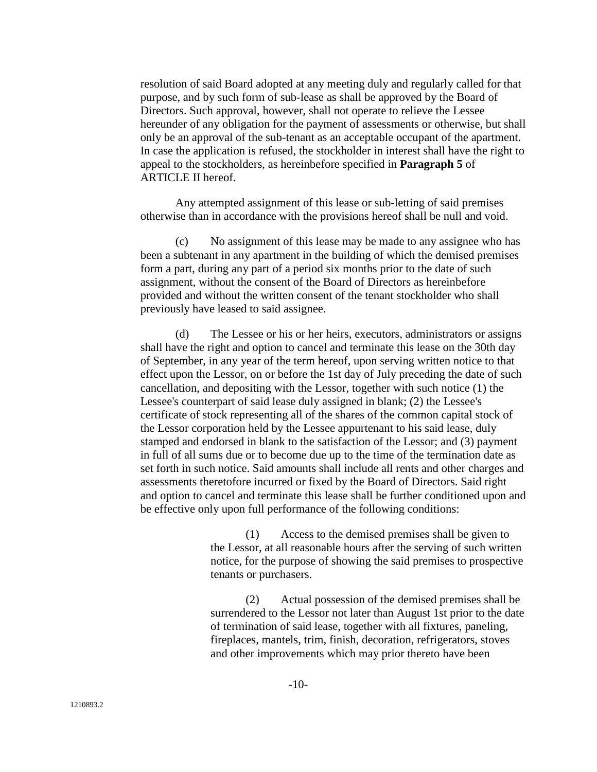resolution of said Board adopted at any meeting duly and regularly called for that purpose, and by such form of sub-lease as shall be approved by the Board of Directors. Such approval, however, shall not operate to relieve the Lessee hereunder of any obligation for the payment of assessments or otherwise, but shall only be an approval of the sub-tenant as an acceptable occupant of the apartment. In case the application is refused, the stockholder in interest shall have the right to appeal to the stockholders, as hereinbefore specified in **Paragraph 5** of ARTICLE II hereof.

Any attempted assignment of this lease or sub-letting of said premises otherwise than in accordance with the provisions hereof shall be null and void.

(c) No assignment of this lease may be made to any assignee who has been a subtenant in any apartment in the building of which the demised premises form a part, during any part of a period six months prior to the date of such assignment, without the consent of the Board of Directors as hereinbefore provided and without the written consent of the tenant stockholder who shall previously have leased to said assignee.

(d) The Lessee or his or her heirs, executors, administrators or assigns shall have the right and option to cancel and terminate this lease on the 30th day of September, in any year of the term hereof, upon serving written notice to that effect upon the Lessor, on or before the 1st day of July preceding the date of such cancellation, and depositing with the Lessor, together with such notice (1) the Lessee's counterpart of said lease duly assigned in blank; (2) the Lessee's certificate of stock representing all of the shares of the common capital stock of the Lessor corporation held by the Lessee appurtenant to his said lease, duly stamped and endorsed in blank to the satisfaction of the Lessor; and (3) payment in full of all sums due or to become due up to the time of the termination date as set forth in such notice. Said amounts shall include all rents and other charges and assessments theretofore incurred or fixed by the Board of Directors. Said right and option to cancel and terminate this lease shall be further conditioned upon and be effective only upon full performance of the following conditions:

> (1) Access to the demised premises shall be given to the Lessor, at all reasonable hours after the serving of such written notice, for the purpose of showing the said premises to prospective tenants or purchasers.

> (2) Actual possession of the demised premises shall be surrendered to the Lessor not later than August 1st prior to the date of termination of said lease, together with all fixtures, paneling, fireplaces, mantels, trim, finish, decoration, refrigerators, stoves and other improvements which may prior thereto have been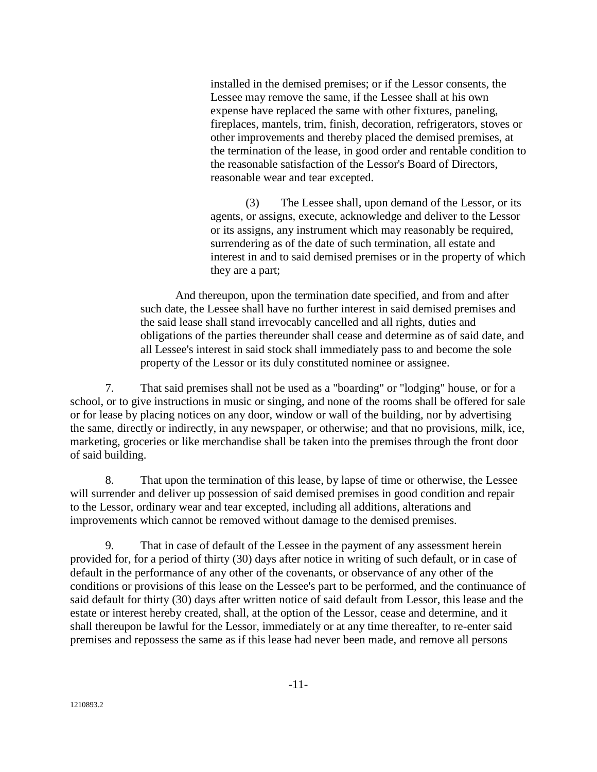installed in the demised premises; or if the Lessor consents, the Lessee may remove the same, if the Lessee shall at his own expense have replaced the same with other fixtures, paneling, fireplaces, mantels, trim, finish, decoration, refrigerators, stoves or other improvements and thereby placed the demised premises, at the termination of the lease, in good order and rentable condition to the reasonable satisfaction of the Lessor's Board of Directors, reasonable wear and tear excepted.

(3) The Lessee shall, upon demand of the Lessor, or its agents, or assigns, execute, acknowledge and deliver to the Lessor or its assigns, any instrument which may reasonably be required, surrendering as of the date of such termination, all estate and interest in and to said demised premises or in the property of which they are a part;

And thereupon, upon the termination date specified, and from and after such date, the Lessee shall have no further interest in said demised premises and the said lease shall stand irrevocably cancelled and all rights, duties and obligations of the parties thereunder shall cease and determine as of said date, and all Lessee's interest in said stock shall immediately pass to and become the sole property of the Lessor or its duly constituted nominee or assignee.

7. That said premises shall not be used as a "boarding" or "lodging" house, or for a school, or to give instructions in music or singing, and none of the rooms shall be offered for sale or for lease by placing notices on any door, window or wall of the building, nor by advertising the same, directly or indirectly, in any newspaper, or otherwise; and that no provisions, milk, ice, marketing, groceries or like merchandise shall be taken into the premises through the front door of said building.

8. That upon the termination of this lease, by lapse of time or otherwise, the Lessee will surrender and deliver up possession of said demised premises in good condition and repair to the Lessor, ordinary wear and tear excepted, including all additions, alterations and improvements which cannot be removed without damage to the demised premises.

9. That in case of default of the Lessee in the payment of any assessment herein provided for, for a period of thirty (30) days after notice in writing of such default, or in case of default in the performance of any other of the covenants, or observance of any other of the conditions or provisions of this lease on the Lessee's part to be performed, and the continuance of said default for thirty (30) days after written notice of said default from Lessor, this lease and the estate or interest hereby created, shall, at the option of the Lessor, cease and determine, and it shall thereupon be lawful for the Lessor, immediately or at any time thereafter, to re-enter said premises and repossess the same as if this lease had never been made, and remove all persons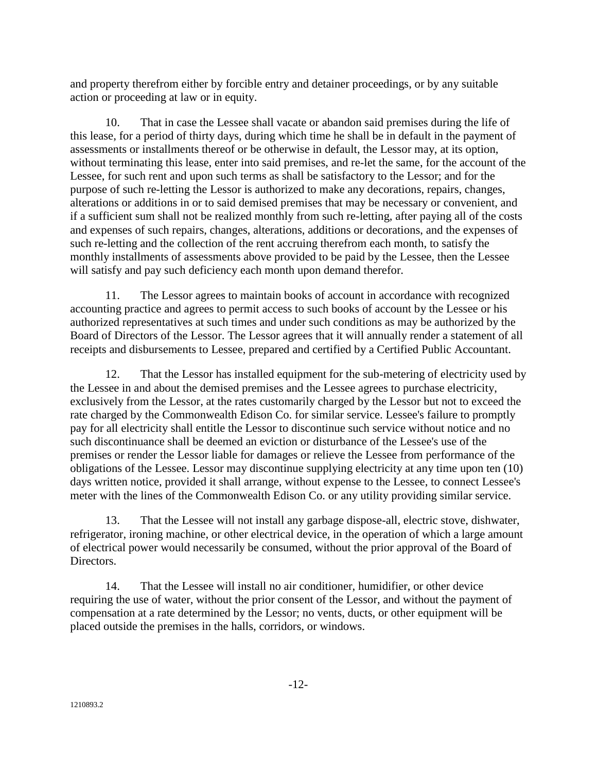and property therefrom either by forcible entry and detainer proceedings, or by any suitable action or proceeding at law or in equity.

10. That in case the Lessee shall vacate or abandon said premises during the life of this lease, for a period of thirty days, during which time he shall be in default in the payment of assessments or installments thereof or be otherwise in default, the Lessor may, at its option, without terminating this lease, enter into said premises, and re-let the same, for the account of the Lessee, for such rent and upon such terms as shall be satisfactory to the Lessor; and for the purpose of such re-letting the Lessor is authorized to make any decorations, repairs, changes, alterations or additions in or to said demised premises that may be necessary or convenient, and if a sufficient sum shall not be realized monthly from such re-letting, after paying all of the costs and expenses of such repairs, changes, alterations, additions or decorations, and the expenses of such re-letting and the collection of the rent accruing therefrom each month, to satisfy the monthly installments of assessments above provided to be paid by the Lessee, then the Lessee will satisfy and pay such deficiency each month upon demand therefor.

11. The Lessor agrees to maintain books of account in accordance with recognized accounting practice and agrees to permit access to such books of account by the Lessee or his authorized representatives at such times and under such conditions as may be authorized by the Board of Directors of the Lessor. The Lessor agrees that it will annually render a statement of all receipts and disbursements to Lessee, prepared and certified by a Certified Public Accountant.

12. That the Lessor has installed equipment for the sub-metering of electricity used by the Lessee in and about the demised premises and the Lessee agrees to purchase electricity, exclusively from the Lessor, at the rates customarily charged by the Lessor but not to exceed the rate charged by the Commonwealth Edison Co. for similar service. Lessee's failure to promptly pay for all electricity shall entitle the Lessor to discontinue such service without notice and no such discontinuance shall be deemed an eviction or disturbance of the Lessee's use of the premises or render the Lessor liable for damages or relieve the Lessee from performance of the obligations of the Lessee. Lessor may discontinue supplying electricity at any time upon ten (10) days written notice, provided it shall arrange, without expense to the Lessee, to connect Lessee's meter with the lines of the Commonwealth Edison Co. or any utility providing similar service.

13. That the Lessee will not install any garbage dispose-all, electric stove, dishwater, refrigerator, ironing machine, or other electrical device, in the operation of which a large amount of electrical power would necessarily be consumed, without the prior approval of the Board of Directors.

14. That the Lessee will install no air conditioner, humidifier, or other device requiring the use of water, without the prior consent of the Lessor, and without the payment of compensation at a rate determined by the Lessor; no vents, ducts, or other equipment will be placed outside the premises in the halls, corridors, or windows.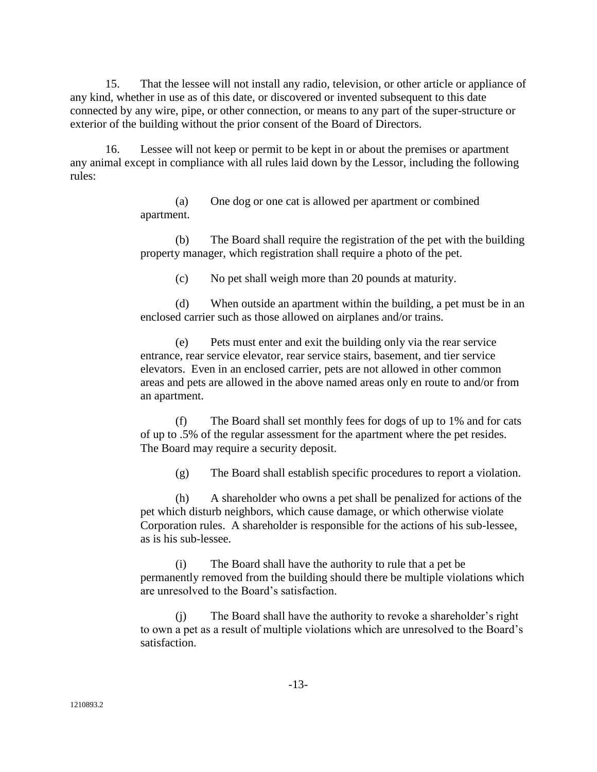15. That the lessee will not install any radio, television, or other article or appliance of any kind, whether in use as of this date, or discovered or invented subsequent to this date connected by any wire, pipe, or other connection, or means to any part of the super-structure or exterior of the building without the prior consent of the Board of Directors.

16. Lessee will not keep or permit to be kept in or about the premises or apartment any animal except in compliance with all rules laid down by the Lessor, including the following rules:

> (a) One dog or one cat is allowed per apartment or combined apartment.

(b) The Board shall require the registration of the pet with the building property manager, which registration shall require a photo of the pet.

(c) No pet shall weigh more than 20 pounds at maturity.

(d) When outside an apartment within the building, a pet must be in an enclosed carrier such as those allowed on airplanes and/or trains.

(e) Pets must enter and exit the building only via the rear service entrance, rear service elevator, rear service stairs, basement, and tier service elevators. Even in an enclosed carrier, pets are not allowed in other common areas and pets are allowed in the above named areas only en route to and/or from an apartment.

(f) The Board shall set monthly fees for dogs of up to 1% and for cats of up to .5% of the regular assessment for the apartment where the pet resides. The Board may require a security deposit.

(g) The Board shall establish specific procedures to report a violation.

(h) A shareholder who owns a pet shall be penalized for actions of the pet which disturb neighbors, which cause damage, or which otherwise violate Corporation rules. A shareholder is responsible for the actions of his sub-lessee, as is his sub-lessee.

(i) The Board shall have the authority to rule that a pet be permanently removed from the building should there be multiple violations which are unresolved to the Board's satisfaction.

(j) The Board shall have the authority to revoke a shareholder's right to own a pet as a result of multiple violations which are unresolved to the Board's satisfaction.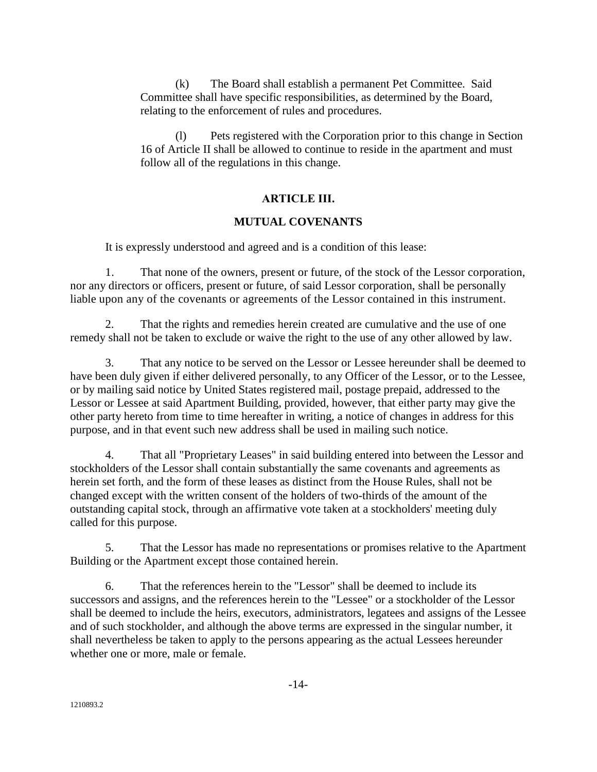(k) The Board shall establish a permanent Pet Committee. Said Committee shall have specific responsibilities, as determined by the Board, relating to the enforcement of rules and procedures.

(l) Pets registered with the Corporation prior to this change in Section 16 of Article II shall be allowed to continue to reside in the apartment and must follow all of the regulations in this change.

## **ARTICLE III.**

#### **MUTUAL COVENANTS**

It is expressly understood and agreed and is a condition of this lease:

1. That none of the owners, present or future, of the stock of the Lessor corporation, nor any directors or officers, present or future, of said Lessor corporation, shall be personally liable upon any of the covenants or agreements of the Lessor contained in this instrument.

2. That the rights and remedies herein created are cumulative and the use of one remedy shall not be taken to exclude or waive the right to the use of any other allowed by law.

3. That any notice to be served on the Lessor or Lessee hereunder shall be deemed to have been duly given if either delivered personally, to any Officer of the Lessor, or to the Lessee, or by mailing said notice by United States registered mail, postage prepaid, addressed to the Lessor or Lessee at said Apartment Building, provided, however, that either party may give the other party hereto from time to time hereafter in writing, a notice of changes in address for this purpose, and in that event such new address shall be used in mailing such notice.

4. That all "Proprietary Leases" in said building entered into between the Lessor and stockholders of the Lessor shall contain substantially the same covenants and agreements as herein set forth, and the form of these leases as distinct from the House Rules, shall not be changed except with the written consent of the holders of two-thirds of the amount of the outstanding capital stock, through an affirmative vote taken at a stockholders' meeting duly called for this purpose.

5. That the Lessor has made no representations or promises relative to the Apartment Building or the Apartment except those contained herein.

6. That the references herein to the "Lessor" shall be deemed to include its successors and assigns, and the references herein to the "Lessee" or a stockholder of the Lessor shall be deemed to include the heirs, executors, administrators, legatees and assigns of the Lessee and of such stockholder, and although the above terms are expressed in the singular number, it shall nevertheless be taken to apply to the persons appearing as the actual Lessees hereunder whether one or more, male or female.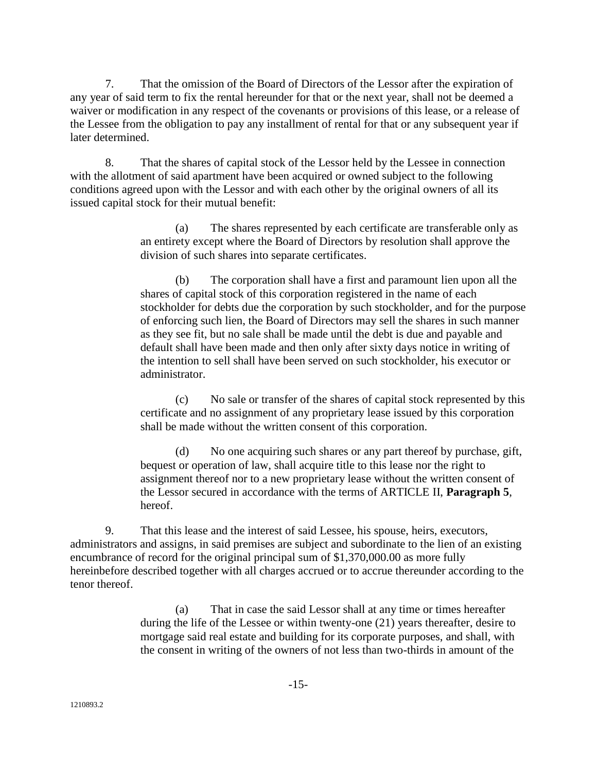7. That the omission of the Board of Directors of the Lessor after the expiration of any year of said term to fix the rental hereunder for that or the next year, shall not be deemed a waiver or modification in any respect of the covenants or provisions of this lease, or a release of the Lessee from the obligation to pay any installment of rental for that or any subsequent year if later determined.

8. That the shares of capital stock of the Lessor held by the Lessee in connection with the allotment of said apartment have been acquired or owned subject to the following conditions agreed upon with the Lessor and with each other by the original owners of all its issued capital stock for their mutual benefit:

> (a) The shares represented by each certificate are transferable only as an entirety except where the Board of Directors by resolution shall approve the division of such shares into separate certificates.

(b) The corporation shall have a first and paramount lien upon all the shares of capital stock of this corporation registered in the name of each stockholder for debts due the corporation by such stockholder, and for the purpose of enforcing such lien, the Board of Directors may sell the shares in such manner as they see fit, but no sale shall be made until the debt is due and payable and default shall have been made and then only after sixty days notice in writing of the intention to sell shall have been served on such stockholder, his executor or administrator.

(c) No sale or transfer of the shares of capital stock represented by this certificate and no assignment of any proprietary lease issued by this corporation shall be made without the written consent of this corporation.

(d) No one acquiring such shares or any part thereof by purchase, gift, bequest or operation of law, shall acquire title to this lease nor the right to assignment thereof nor to a new proprietary lease without the written consent of the Lessor secured in accordance with the terms of ARTICLE II, **Paragraph 5**, hereof.

9. That this lease and the interest of said Lessee, his spouse, heirs, executors, administrators and assigns, in said premises are subject and subordinate to the lien of an existing encumbrance of record for the original principal sum of \$1,370,000.00 as more fully hereinbefore described together with all charges accrued or to accrue thereunder according to the tenor thereof.

> (a) That in case the said Lessor shall at any time or times hereafter during the life of the Lessee or within twenty-one (21) years thereafter, desire to mortgage said real estate and building for its corporate purposes, and shall, with the consent in writing of the owners of not less than two-thirds in amount of the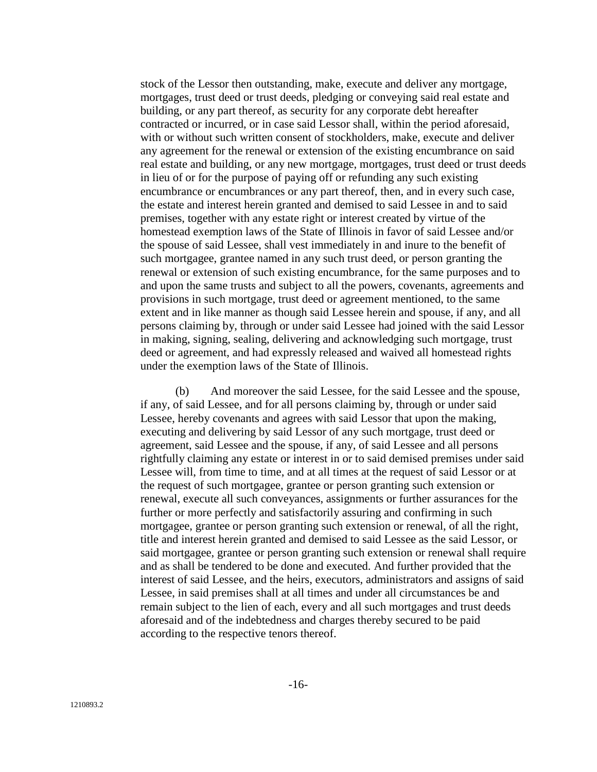stock of the Lessor then outstanding, make, execute and deliver any mortgage, mortgages, trust deed or trust deeds, pledging or conveying said real estate and building, or any part thereof, as security for any corporate debt hereafter contracted or incurred, or in case said Lessor shall, within the period aforesaid, with or without such written consent of stockholders, make, execute and deliver any agreement for the renewal or extension of the existing encumbrance on said real estate and building, or any new mortgage, mortgages, trust deed or trust deeds in lieu of or for the purpose of paying off or refunding any such existing encumbrance or encumbrances or any part thereof, then, and in every such case, the estate and interest herein granted and demised to said Lessee in and to said premises, together with any estate right or interest created by virtue of the homestead exemption laws of the State of Illinois in favor of said Lessee and/or the spouse of said Lessee, shall vest immediately in and inure to the benefit of such mortgagee, grantee named in any such trust deed, or person granting the renewal or extension of such existing encumbrance, for the same purposes and to and upon the same trusts and subject to all the powers, covenants, agreements and provisions in such mortgage, trust deed or agreement mentioned, to the same extent and in like manner as though said Lessee herein and spouse, if any, and all persons claiming by, through or under said Lessee had joined with the said Lessor in making, signing, sealing, delivering and acknowledging such mortgage, trust deed or agreement, and had expressly released and waived all homestead rights under the exemption laws of the State of Illinois.

(b) And moreover the said Lessee, for the said Lessee and the spouse, if any, of said Lessee, and for all persons claiming by, through or under said Lessee, hereby covenants and agrees with said Lessor that upon the making, executing and delivering by said Lessor of any such mortgage, trust deed or agreement, said Lessee and the spouse, if any, of said Lessee and all persons rightfully claiming any estate or interest in or to said demised premises under said Lessee will, from time to time, and at all times at the request of said Lessor or at the request of such mortgagee, grantee or person granting such extension or renewal, execute all such conveyances, assignments or further assurances for the further or more perfectly and satisfactorily assuring and confirming in such mortgagee, grantee or person granting such extension or renewal, of all the right, title and interest herein granted and demised to said Lessee as the said Lessor, or said mortgagee, grantee or person granting such extension or renewal shall require and as shall be tendered to be done and executed. And further provided that the interest of said Lessee, and the heirs, executors, administrators and assigns of said Lessee, in said premises shall at all times and under all circumstances be and remain subject to the lien of each, every and all such mortgages and trust deeds aforesaid and of the indebtedness and charges thereby secured to be paid according to the respective tenors thereof.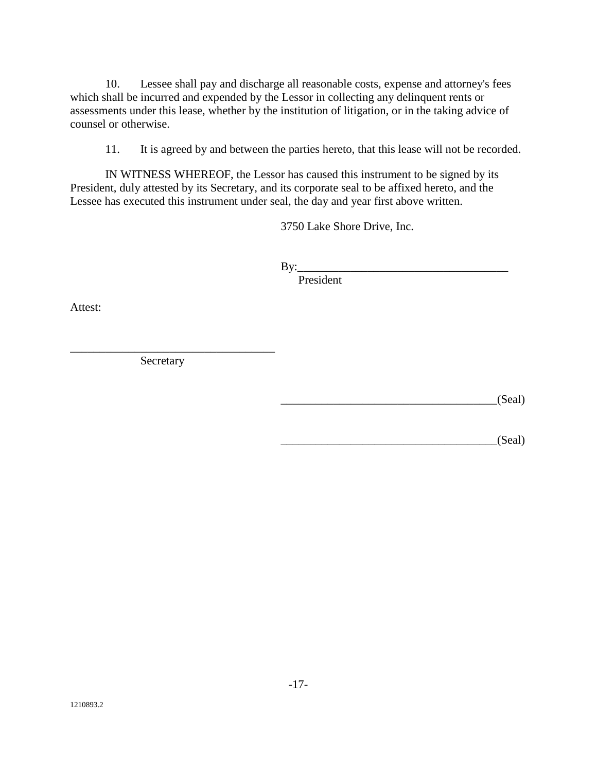10. Lessee shall pay and discharge all reasonable costs, expense and attorney's fees which shall be incurred and expended by the Lessor in collecting any delinquent rents or assessments under this lease, whether by the institution of litigation, or in the taking advice of counsel or otherwise.

11. It is agreed by and between the parties hereto, that this lease will not be recorded.

IN WITNESS WHEREOF, the Lessor has caused this instrument to be signed by its President, duly attested by its Secretary, and its corporate seal to be affixed hereto, and the Lessee has executed this instrument under seal, the day and year first above written.

3750 Lake Shore Drive, Inc.

By:\_\_\_\_\_\_\_\_\_\_\_\_\_\_\_\_\_\_\_\_\_\_\_\_\_\_\_\_\_\_\_\_\_\_\_\_

President

Attest:

Secretary

\_\_\_\_\_\_\_\_\_\_\_\_\_\_\_\_\_\_\_\_\_\_\_\_\_\_\_\_\_\_\_\_\_\_\_

 $_S(Scal)$ 

 $(Seal)$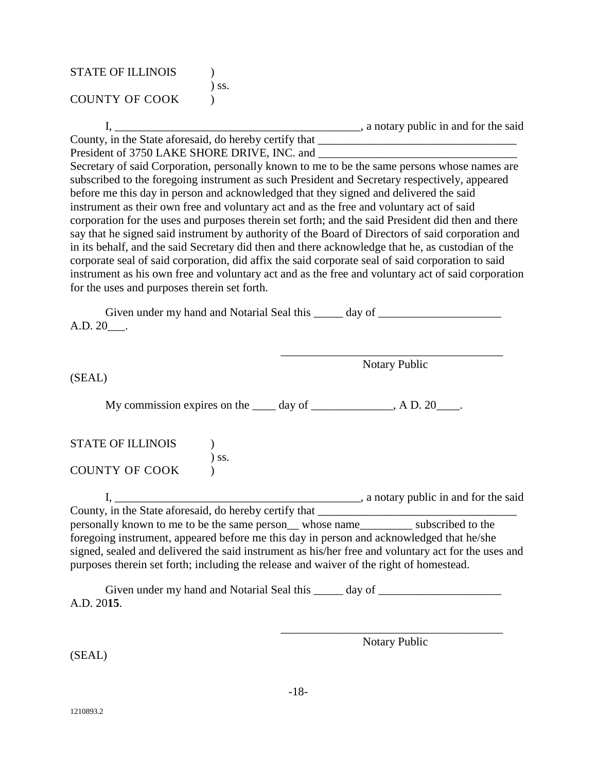| <b>STATE OF ILLINOIS</b> |            |
|--------------------------|------------|
| <b>COUNTY OF COOK</b>    | $\sum$ SS. |

I, \_\_\_\_\_\_\_\_\_\_\_\_\_\_\_\_\_\_\_\_\_\_\_\_\_\_\_\_\_\_\_\_\_\_\_\_\_\_\_\_\_\_, a notary public in and for the said

County, in the State aforesaid, do hereby certify that \_\_\_\_\_\_\_\_\_\_\_\_\_\_\_\_\_\_\_\_\_\_\_\_\_\_\_\_\_\_\_\_\_\_ President of 3750 LAKE SHORE DRIVE, INC. and

Secretary of said Corporation, personally known to me to be the same persons whose names are subscribed to the foregoing instrument as such President and Secretary respectively, appeared before me this day in person and acknowledged that they signed and delivered the said instrument as their own free and voluntary act and as the free and voluntary act of said corporation for the uses and purposes therein set forth; and the said President did then and there say that he signed said instrument by authority of the Board of Directors of said corporation and in its behalf, and the said Secretary did then and there acknowledge that he, as custodian of the corporate seal of said corporation, did affix the said corporate seal of said corporation to said instrument as his own free and voluntary act and as the free and voluntary act of said corporation for the uses and purposes therein set forth.

Given under my hand and Notarial Seal this \_\_\_\_\_\_ day of \_\_\_\_\_\_\_\_\_\_\_\_\_\_\_\_\_\_\_\_\_\_\_ A.D. 20\_\_\_.

> \_\_\_\_\_\_\_\_\_\_\_\_\_\_\_\_\_\_\_\_\_\_\_\_\_\_\_\_\_\_\_\_\_\_\_\_\_\_ Notary Public

(SEAL)

My commission expires on the  $\rule{1em}{0.15mm}$  day of  $\rule{1em}{0.15mm}$   $\qquad$   $\qquad$  A D. 20 $\rule{1em}{0.15mm}$ .

| <b>STATE OF ILLINOIS</b> |            |
|--------------------------|------------|
|                          | $\sum$ SS. |
| <b>COUNTY OF COOK</b>    |            |

I, \_\_\_\_\_\_\_\_\_\_\_\_\_\_\_\_\_\_\_\_\_\_\_\_\_\_\_\_\_\_\_\_\_\_\_\_\_\_\_\_\_\_, a notary public in and for the said County, in the State aforesaid, do hereby certify that personally known to me to be the same person\_\_ whose name\_\_\_\_\_\_\_\_\_ subscribed to the foregoing instrument, appeared before me this day in person and acknowledged that he/she signed, sealed and delivered the said instrument as his/her free and voluntary act for the uses and purposes therein set forth; including the release and waiver of the right of homestead.

Given under my hand and Notarial Seal this \_\_\_\_\_ day of \_\_\_\_\_\_\_\_\_\_\_\_\_\_\_\_\_\_\_\_\_\_\_\_ A.D. 20**15**.

> \_\_\_\_\_\_\_\_\_\_\_\_\_\_\_\_\_\_\_\_\_\_\_\_\_\_\_\_\_\_\_\_\_\_\_\_\_\_ Notary Public

(SEAL)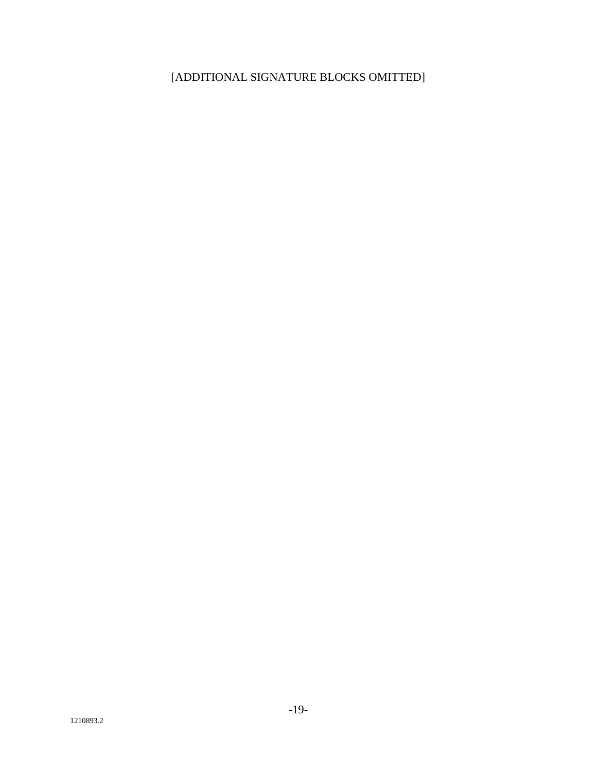# [ADDITIONAL SIGNATURE BLOCKS OMITTED]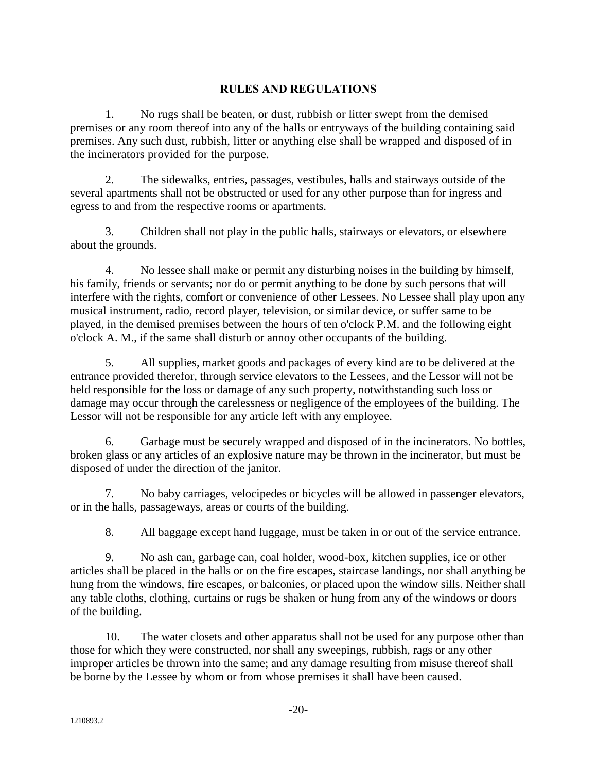## **RULES AND REGULATIONS**

1. No rugs shall be beaten, or dust, rubbish or litter swept from the demised premises or any room thereof into any of the halls or entryways of the building containing said premises. Any such dust, rubbish, litter or anything else shall be wrapped and disposed of in the incinerators provided for the purpose.

2. The sidewalks, entries, passages, vestibules, halls and stairways outside of the several apartments shall not be obstructed or used for any other purpose than for ingress and egress to and from the respective rooms or apartments.

3. Children shall not play in the public halls, stairways or elevators, or elsewhere about the grounds.

4. No lessee shall make or permit any disturbing noises in the building by himself, his family, friends or servants; nor do or permit anything to be done by such persons that will interfere with the rights, comfort or convenience of other Lessees. No Lessee shall play upon any musical instrument, radio, record player, television, or similar device, or suffer same to be played, in the demised premises between the hours of ten o'clock P.M. and the following eight o'clock A. M., if the same shall disturb or annoy other occupants of the building.

5. All supplies, market goods and packages of every kind are to be delivered at the entrance provided therefor, through service elevators to the Lessees, and the Lessor will not be held responsible for the loss or damage of any such property, notwithstanding such loss or damage may occur through the carelessness or negligence of the employees of the building. The Lessor will not be responsible for any article left with any employee.

6. Garbage must be securely wrapped and disposed of in the incinerators. No bottles, broken glass or any articles of an explosive nature may be thrown in the incinerator, but must be disposed of under the direction of the janitor.

7. No baby carriages, velocipedes or bicycles will be allowed in passenger elevators, or in the halls, passageways, areas or courts of the building.

8. All baggage except hand luggage, must be taken in or out of the service entrance.

9. No ash can, garbage can, coal holder, wood-box, kitchen supplies, ice or other articles shall be placed in the halls or on the fire escapes, staircase landings, nor shall anything be hung from the windows, fire escapes, or balconies, or placed upon the window sills. Neither shall any table cloths, clothing, curtains or rugs be shaken or hung from any of the windows or doors of the building.

10. The water closets and other apparatus shall not be used for any purpose other than those for which they were constructed, nor shall any sweepings, rubbish, rags or any other improper articles be thrown into the same; and any damage resulting from misuse thereof shall be borne by the Lessee by whom or from whose premises it shall have been caused.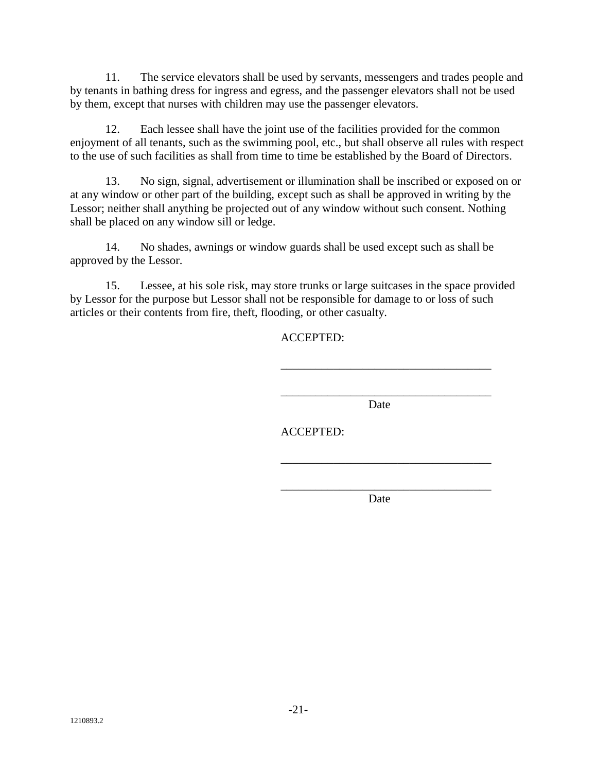11. The service elevators shall be used by servants, messengers and trades people and by tenants in bathing dress for ingress and egress, and the passenger elevators shall not be used by them, except that nurses with children may use the passenger elevators.

12. Each lessee shall have the joint use of the facilities provided for the common enjoyment of all tenants, such as the swimming pool, etc., but shall observe all rules with respect to the use of such facilities as shall from time to time be established by the Board of Directors.

13. No sign, signal, advertisement or illumination shall be inscribed or exposed on or at any window or other part of the building, except such as shall be approved in writing by the Lessor; neither shall anything be projected out of any window without such consent. Nothing shall be placed on any window sill or ledge.

14. No shades, awnings or window guards shall be used except such as shall be approved by the Lessor.

15. Lessee, at his sole risk, may store trunks or large suitcases in the space provided by Lessor for the purpose but Lessor shall not be responsible for damage to or loss of such articles or their contents from fire, theft, flooding, or other casualty.

ACCEPTED:

\_\_\_\_\_\_\_\_\_\_\_\_\_\_\_\_\_\_\_\_\_\_\_\_\_\_\_\_\_\_\_\_\_\_\_\_ Date

\_\_\_\_\_\_\_\_\_\_\_\_\_\_\_\_\_\_\_\_\_\_\_\_\_\_\_\_\_\_\_\_\_\_\_\_

ACCEPTED:

\_\_\_\_\_\_\_\_\_\_\_\_\_\_\_\_\_\_\_\_\_\_\_\_\_\_\_\_\_\_\_\_\_\_\_\_ Date

\_\_\_\_\_\_\_\_\_\_\_\_\_\_\_\_\_\_\_\_\_\_\_\_\_\_\_\_\_\_\_\_\_\_\_\_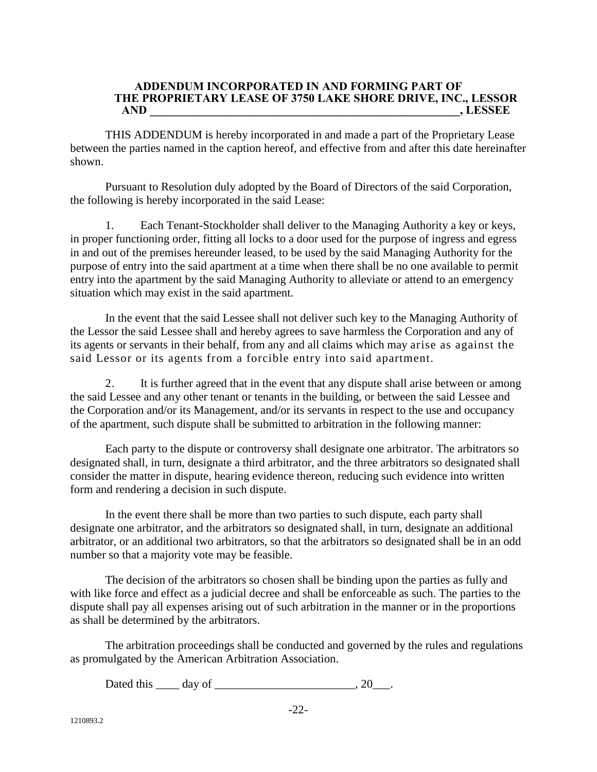#### **ADDENDUM INCORPORATED IN AND FORMING PART OF THE PROPRIETARY LEASE OF 3750 LAKE SHORE DRIVE, INC., LESSOR AND \_\_\_\_\_\_\_\_\_\_\_\_\_\_\_\_\_\_\_\_\_\_\_\_\_\_\_\_\_\_\_\_\_\_\_\_\_\_\_\_\_\_\_\_\_\_\_\_\_\_\_\_\_, LESSEE**

THIS ADDENDUM is hereby incorporated in and made a part of the Proprietary Lease between the parties named in the caption hereof, and effective from and after this date hereinafter shown.

Pursuant to Resolution duly adopted by the Board of Directors of the said Corporation, the following is hereby incorporated in the said Lease:

1. Each Tenant-Stockholder shall deliver to the Managing Authority a key or keys, in proper functioning order, fitting all locks to a door used for the purpose of ingress and egress in and out of the premises hereunder leased, to be used by the said Managing Authority for the purpose of entry into the said apartment at a time when there shall be no one available to permit entry into the apartment by the said Managing Authority to alleviate or attend to an emergency situation which may exist in the said apartment.

In the event that the said Lessee shall not deliver such key to the Managing Authority of the Lessor the said Lessee shall and hereby agrees to save harmless the Corporation and any of its agents or servants in their behalf, from any and all claims which may arise as against the said Lessor or its agents from a forcible entry into said apartment.

2. It is further agreed that in the event that any dispute shall arise between or among the said Lessee and any other tenant or tenants in the building, or between the said Lessee and the Corporation and/or its Management, and/or its servants in respect to the use and occupancy of the apartment, such dispute shall be submitted to arbitration in the following manner:

Each party to the dispute or controversy shall designate one arbitrator. The arbitrators so designated shall, in turn, designate a third arbitrator, and the three arbitrators so designated shall consider the matter in dispute, hearing evidence thereon, reducing such evidence into written form and rendering a decision in such dispute.

In the event there shall be more than two parties to such dispute, each party shall designate one arbitrator, and the arbitrators so designated shall, in turn, designate an additional arbitrator, or an additional two arbitrators, so that the arbitrators so designated shall be in an odd number so that a majority vote may be feasible.

The decision of the arbitrators so chosen shall be binding upon the parties as fully and with like force and effect as a judicial decree and shall be enforceable as such. The parties to the dispute shall pay all expenses arising out of such arbitration in the manner or in the proportions as shall be determined by the arbitrators.

The arbitration proceedings shall be conducted and governed by the rules and regulations as promulgated by the American Arbitration Association.

Dated this \_\_\_\_\_ day of \_\_\_\_\_\_\_\_\_\_\_\_\_\_\_\_\_\_\_\_\_\_\_\_\_, 20\_\_\_.